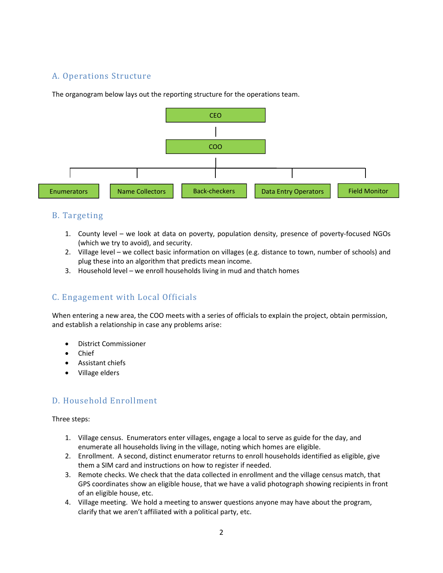# A. Operations Structure

The organogram below lays out the reporting structure for the operations team.



# B. Targeting

- 1. County level we look at data on poverty, population density, presence of poverty-focused NGOs (which we try to avoid), and security.
- 2. Village level we collect basic information on villages (e.g. distance to town, number of schools) and plug these into an algorithm that predicts mean income.
- 3. Household level we enroll households living in mud and thatch homes

# C. Engagement with Local Officials

When entering a new area, the COO meets with a series of officials to explain the project, obtain permission, and establish a relationship in case any problems arise:

- District Commissioner
- Chief
- Assistant chiefs
- Village elders

# D. Household Enrollment

Three steps:

- 1. Village census. Enumerators enter villages, engage a local to serve as guide for the day, and enumerate all households living in the village, noting which homes are eligible.
- 2. Enrollment. A second, distinct enumerator returns to enroll households identified as eligible, give them a SIM card and instructions on how to register if needed.
- 3. Remote checks. We check that the data collected in enrollment and the village census match, that GPS coordinates show an eligible house, that we have a valid photograph showing recipients in front of an eligible house, etc.
- 4. Village meeting. We hold a meeting to answer questions anyone may have about the program, clarify that we aren't affiliated with a political party, etc.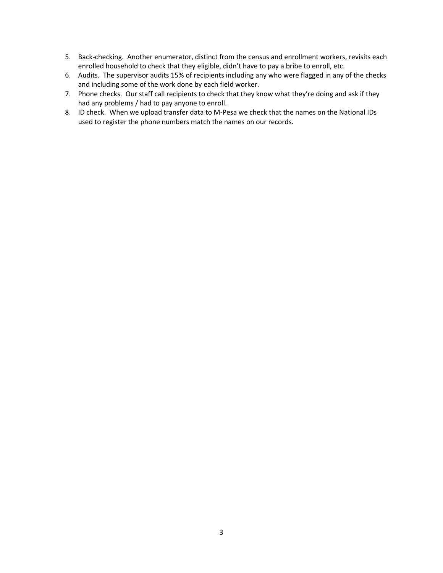- 5. Back-checking. Another enumerator, distinct from the census and enrollment workers, revisits each enrolled household to check that they eligible, didn't have to pay a bribe to enroll, etc.
- 6. Audits. The supervisor audits 15% of recipients including any who were flagged in any of the checks and including some of the work done by each field worker.
- 7. Phone checks. Our staff call recipients to check that they know what they're doing and ask if they had any problems / had to pay anyone to enroll.
- 8. ID check. When we upload transfer data to M-Pesa we check that the names on the National IDs used to register the phone numbers match the names on our records.